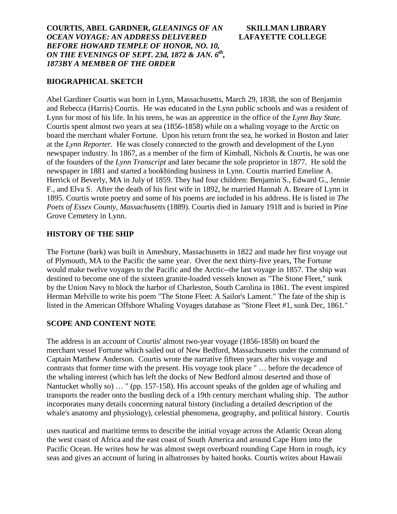### **BIOGRAPHICAL SKETCH**

Abel Gardiner Courtis was born in Lynn, Massachusetts, March 29, 1838, the son of Benjamin and Rebecca (Harris) Courtis. He was educated in the Lynn public schools and was a resident of Lynn for most of his life. In his teens, he was an apprentice in the office of the *Lynn Bay State*. Courtis spent almost two years at sea (1856-1858) while on a whaling voyage to the Arctic on board the merchant whaler Fortune. Upon his return from the sea, he worked in Boston and later at the *Lynn Reporter.* He was closely connected to the growth and development of the Lynn newspaper industry. In 1867, as a member of the firm of Kimball, Nichols & Courtis, he was one of the founders of the *Lynn Transcript* and later became the sole proprietor in 1877. He sold the newspaper in 1881 and started a bookbinding business in Lynn. Courtis married Emeline A. Herrick of Beverly, MA in July of 1859. They had four children: Benjamin S., Edward G., Jennie F., and Elva S. After the death of his first wife in 1892, he married Hannah A. Breare of Lynn in 1895. Courtis wrote poetry and some of his poems are included in his address. He is listed in *The Poets of Essex County, Massachusetts* (1889). Courtis died in January 1918 and is buried in Pine Grove Cemetery in Lynn.

# **HISTORY OF THE SHIP**

The Fortune (bark) was built in Amesbury, Massachusetts in 1822 and made her first voyage out of Plymouth, MA to the Pacific the same year. Over the next thirty-five years, The Fortune would make twelve voyages to the Pacific and the Arctic--the last voyage in 1857. The ship was destined to become one of the sixteen granite-loaded vessels known as "The Stone Fleet," sunk by the Union Navy to block the harbor of Charleston, South Carolina in 1861. The event inspired Herman Melville to write his poem "The Stone Fleet: A Sailor's Lament." The fate of the ship is listed in the American Offshore Whaling Voyages database as "Stone Fleet #1, sunk Dec, 1861."

### **SCOPE AND CONTENT NOTE**

The address is an account of Courtis' almost two-year voyage (1856-1858) on board the merchant vessel Fortune which sailed out of New Bedford, Massachusetts under the command of Captain Matthew Anderson. Courtis wrote the narrative fifteen years after his voyage and contrasts that former time with the present. His voyage took place " … before the decadence of the whaling interest (which has left the docks of New Bedford almost deserted and those of Nantucket wholly so) … " (pp. 157-158). His account speaks of the golden age of whaling and transports the reader onto the bustling deck of a 19th century merchant whaling ship. The author incorporates many details concerning natural history (including a detailed description of the whale's anatomy and physiology), celestial phenomena, geography, and political history. Courtis

uses nautical and maritime terms to describe the initial voyage across the Atlantic Ocean along the west coast of Africa and the east coast of South America and around Cape Horn into the Pacific Ocean. He writes how he was almost swept overboard rounding Cape Horn in rough, icy seas and gives an account of luring in albatrosses by baited hooks. Courtis writes about Hawaii